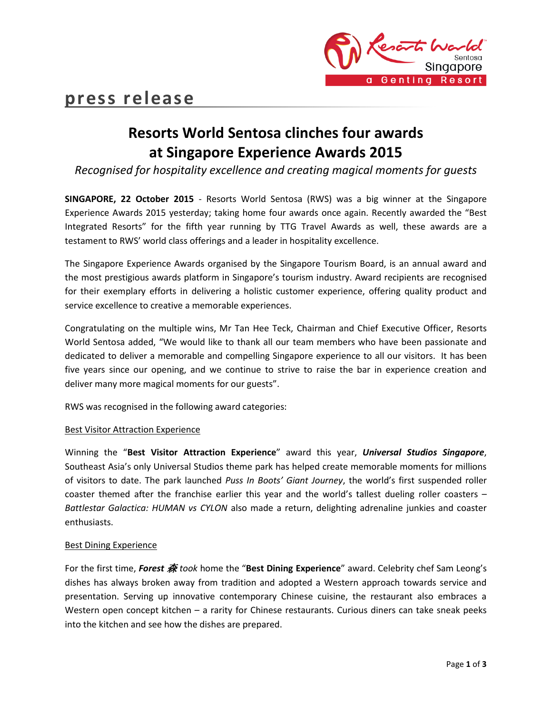

# **Resorts World Sentosa clinches four awards at Singapore Experience Awards 2015**

*Recognised for hospitality excellence and creating magical moments for guests*

**SINGAPORE, 22 October 2015** - Resorts World Sentosa (RWS) was a big winner at the Singapore Experience Awards 2015 yesterday; taking home four awards once again. Recently awarded the "Best Integrated Resorts" for the fifth year running by TTG Travel Awards as well, these awards are a testament to RWS' world class offerings and a leader in hospitality excellence.

The Singapore Experience Awards organised by the Singapore Tourism Board, is an annual award and the most prestigious awards platform in Singapore's tourism industry. Award recipients are recognised for their exemplary efforts in delivering a holistic customer experience, offering quality product and service excellence to creative a memorable experiences.

Congratulating on the multiple wins, Mr Tan Hee Teck, Chairman and Chief Executive Officer, Resorts World Sentosa added, "We would like to thank all our team members who have been passionate and dedicated to deliver a memorable and compelling Singapore experience to all our visitors. It has been five years since our opening, and we continue to strive to raise the bar in experience creation and deliver many more magical moments for our guests".

RWS was recognised in the following award categories:

## Best Visitor Attraction Experience

Winning the "**Best Visitor Attraction Experience**" award this year, *Universal Studios Singapore*, Southeast Asia's only Universal Studios theme park has helped create memorable moments for millions of visitors to date. The park launched *Puss In Boots' Giant Journey*, the world's first suspended roller coaster themed after the franchise earlier this year and the world's tallest dueling roller coasters – *Battlestar Galactica: HUMAN vs CYLON* also made a return, delighting adrenaline junkies and coaster enthusiasts.

## Best Dining Experience

For the first time, *Forest* 森 *took* home the "**Best Dining Experience**" award. Celebrity chef Sam Leong's dishes has always broken away from tradition and adopted a Western approach towards service and presentation. Serving up innovative contemporary Chinese cuisine, the restaurant also embraces a Western open concept kitchen – a rarity for Chinese restaurants. Curious diners can take sneak peeks into the kitchen and see how the dishes are prepared.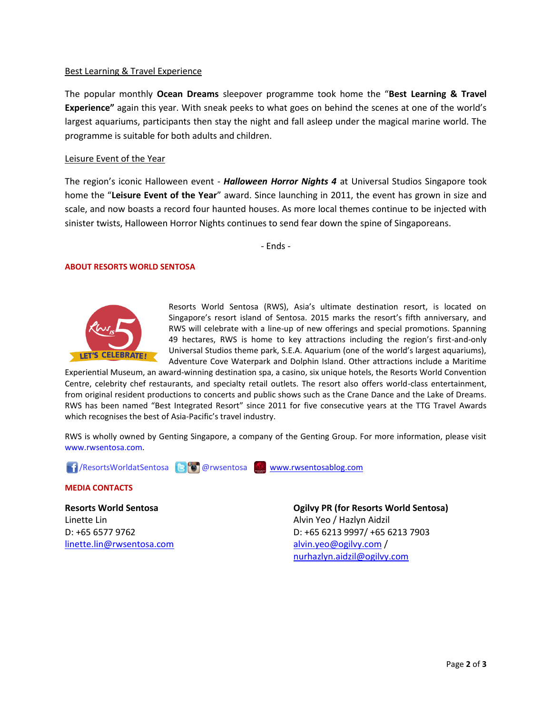### Best Learning & Travel Experience

The popular monthly **Ocean Dreams** sleepover programme took home the "**Best Learning & Travel Experience"** again this year. With sneak peeks to what goes on behind the scenes at one of the world's largest aquariums, participants then stay the night and fall asleep under the magical marine world. The programme is suitable for both adults and children.

#### Leisure Event of the Year

The region's iconic Halloween event - *Halloween Horror Nights 4* at Universal Studios Singapore took home the "**Leisure Event of the Year**" award. Since launching in 2011, the event has grown in size and scale, and now boasts a record four haunted houses. As more local themes continue to be injected with sinister twists, Halloween Horror Nights continues to send fear down the spine of Singaporeans.

- Ends -

### **ABOUT RESORTS WORLD SENTOSA**



Resorts World Sentosa (RWS), Asia's ultimate destination resort, is located on Singapore's resort island of Sentosa. 2015 marks the resort's fifth anniversary, and RWS will celebrate with a line-up of new offerings and special promotions. Spanning 49 hectares, RWS is home to key attractions including the region's first-and-only Universal Studios theme park, S.E.A. Aquarium (one of the world's largest aquariums), Adventure Cove Waterpark and Dolphin Island. Other attractions include a Maritime

Experiential Museum, an award-winning destination spa, a casino, six unique hotels, the Resorts World Convention Centre, celebrity chef restaurants, and specialty retail outlets. The resort also offers world-class entertainment, from original resident productions to concerts and public shows such as the Crane Dance and the Lake of Dreams. RWS has been named "Best Integrated Resort" since 2011 for five consecutive years at the TTG Travel Awards which recognises the best of Asia-Pacific's travel industry.

RWS is wholly owned by Genting Singapore, a company of the Genting Group. For more information, please visit [www.rwsentosa.com.](http://www.rwsentosa.com/)

**1** ResortsWorldatSentosa **BO@rwsentosa** [www.rwsentosablog.com](http://www.rwsentosablog.com/)

#### **MEDIA CONTACTS**

**Resorts World Sentosa** Linette Lin D: +65 6577 9762 [linette.lin@rwsentosa.com](mailto:linette.lin@rwsentosa.com)

**Ogilvy PR (for Resorts World Sentosa)** Alvin Yeo / Hazlyn Aidzil D: +65 6213 9997/ +65 6213 7903 [alvin.yeo@ogilvy.com](mailto:alvin.yeo@ogilvy.com) / [nurhazlyn.aidzil@ogilvy.com](mailto:nurhazlyn.aidzil@ogilvy.com)